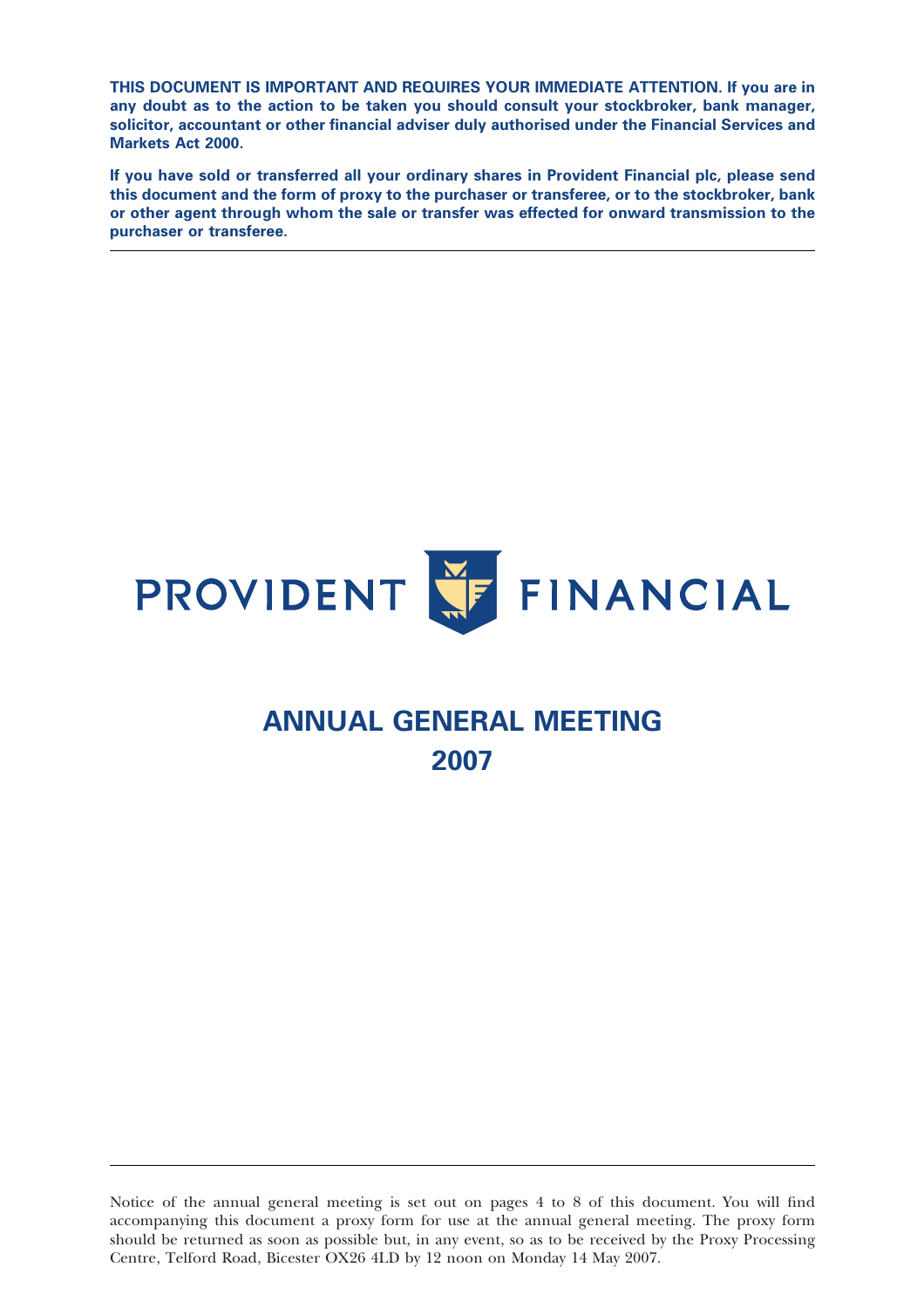THIS DOCUMENT IS IMPORTANT AND REQUIRES YOUR IMMEDIATE ATTENTION. If you are in any doubt as to the action to be taken you should consult your stockbroker, bank manager, solicitor, accountant or other financial adviser duly authorised under the Financial Services and Markets Act 2000.

If you have sold or transferred all your ordinary shares in Provident Financial plc, please send this document and the form of proxy to the purchaser or transferee, or to the stockbroker, bank or other agent through whom the sale or transfer was effected for onward transmission to the purchaser or transferee.



# ANNUAL GENERAL MEETING 2007

Notice of the annual general meeting is set out on pages 4 to 8 of this document. You will find accompanying this document a proxy form for use at the annual general meeting. The proxy form should be returned as soon as possible but, in any event, so as to be received by the Proxy Processing Centre, Telford Road, Bicester OX26 4LD by 12 noon on Monday 14 May 2007.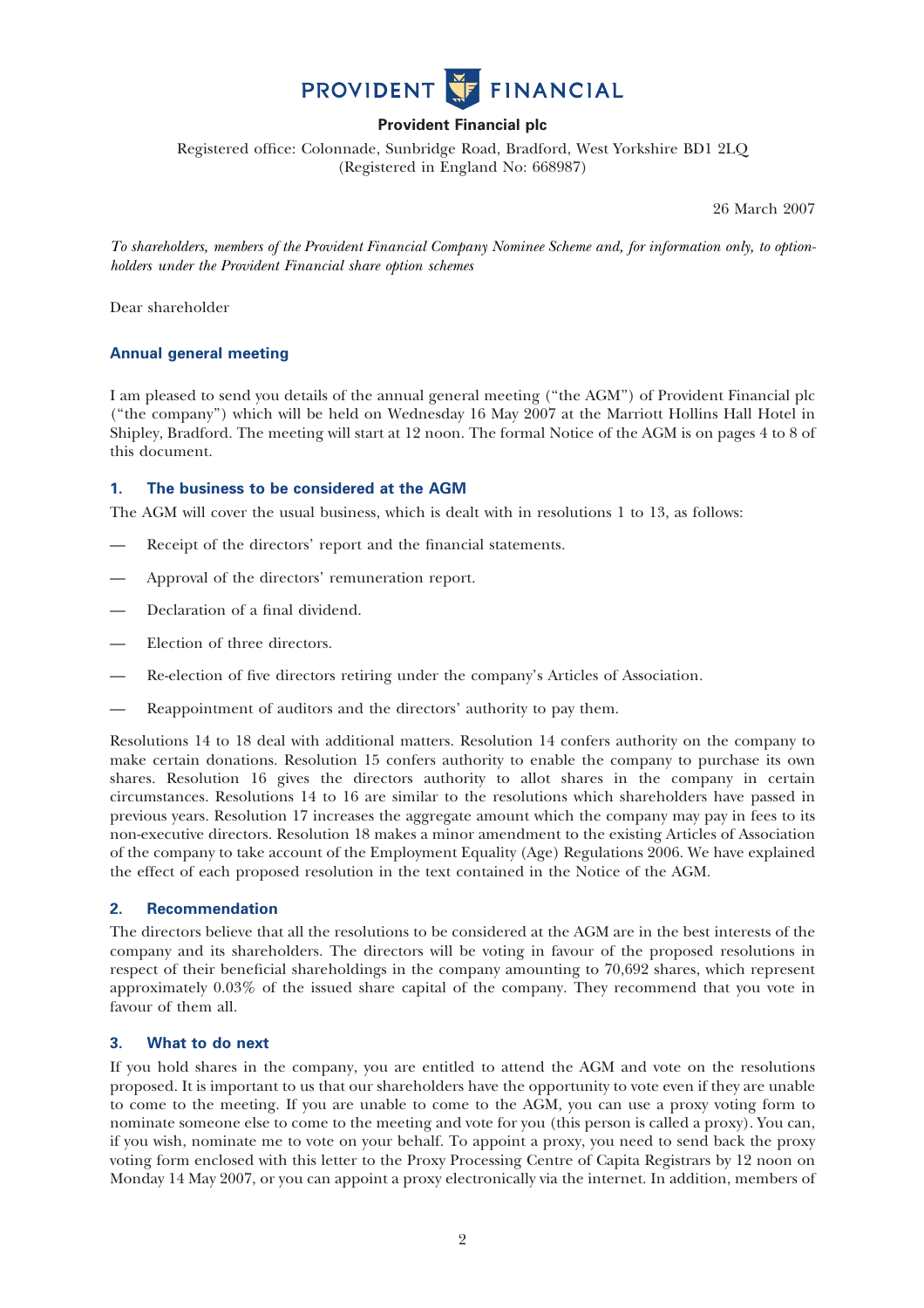

# Provident Financial plc

Registered office: Colonnade, Sunbridge Road, Bradford, West Yorkshire BD1 2LQ (Registered in England No: 668987)

26 March 2007

To shareholders, members of the Provident Financial Company Nominee Scheme and, for information only, to optionholders under the Provident Financial share option schemes

Dear shareholder

## Annual general meeting

I am pleased to send you details of the annual general meeting (''the AGM'') of Provident Financial plc (''the company'') which will be held on Wednesday 16 May 2007 at the Marriott Hollins Hall Hotel in Shipley, Bradford. The meeting will start at 12 noon. The formal Notice of the AGM is on pages 4 to 8 of this document.

## 1. The business to be considered at the AGM

The AGM will cover the usual business, which is dealt with in resolutions 1 to 13, as follows:

- Receipt of the directors' report and the financial statements.
- Approval of the directors' remuneration report.
- Declaration of a final dividend.
- Election of three directors.
- Re-election of five directors retiring under the company's Articles of Association.
- Reappointment of auditors and the directors' authority to pay them.

Resolutions 14 to 18 deal with additional matters. Resolution 14 confers authority on the company to make certain donations. Resolution 15 confers authority to enable the company to purchase its own shares. Resolution 16 gives the directors authority to allot shares in the company in certain circumstances. Resolutions 14 to 16 are similar to the resolutions which shareholders have passed in previous years. Resolution 17 increases the aggregate amount which the company may pay in fees to its non-executive directors. Resolution 18 makes a minor amendment to the existing Articles of Association of the company to take account of the Employment Equality (Age) Regulations 2006. We have explained the effect of each proposed resolution in the text contained in the Notice of the AGM.

## 2. Recommendation

The directors believe that all the resolutions to be considered at the AGM are in the best interests of the company and its shareholders. The directors will be voting in favour of the proposed resolutions in respect of their beneficial shareholdings in the company amounting to 70,692 shares, which represent approximately 0.03% of the issued share capital of the company. They recommend that you vote in favour of them all.

## 3. What to do next

If you hold shares in the company, you are entitled to attend the AGM and vote on the resolutions proposed. It is important to us that our shareholders have the opportunity to vote even if they are unable to come to the meeting. If you are unable to come to the AGM, you can use a proxy voting form to nominate someone else to come to the meeting and vote for you (this person is called a proxy). You can, if you wish, nominate me to vote on your behalf. To appoint a proxy, you need to send back the proxy voting form enclosed with this letter to the Proxy Processing Centre of Capita Registrars by 12 noon on Monday 14 May 2007, or you can appoint a proxy electronically via the internet. In addition, members of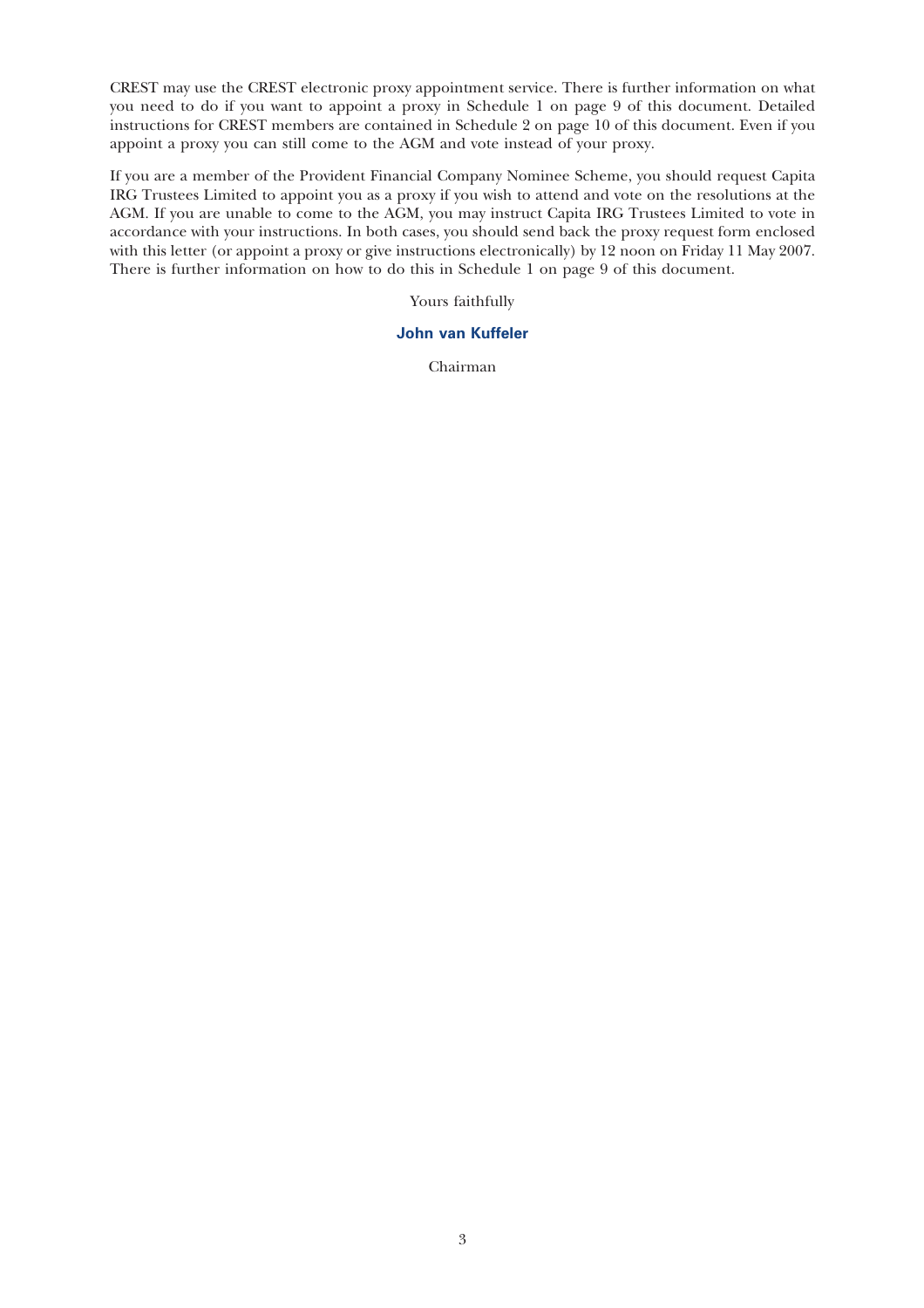CREST may use the CREST electronic proxy appointment service. There is further information on what you need to do if you want to appoint a proxy in Schedule 1 on page 9 of this document. Detailed instructions for CREST members are contained in Schedule 2 on page 10 of this document. Even if you appoint a proxy you can still come to the AGM and vote instead of your proxy.

If you are a member of the Provident Financial Company Nominee Scheme, you should request Capita IRG Trustees Limited to appoint you as a proxy if you wish to attend and vote on the resolutions at the AGM. If you are unable to come to the AGM, you may instruct Capita IRG Trustees Limited to vote in accordance with your instructions. In both cases, you should send back the proxy request form enclosed with this letter (or appoint a proxy or give instructions electronically) by 12 noon on Friday 11 May 2007. There is further information on how to do this in Schedule 1 on page 9 of this document.

Yours faithfully

# John van Kuffeler

Chairman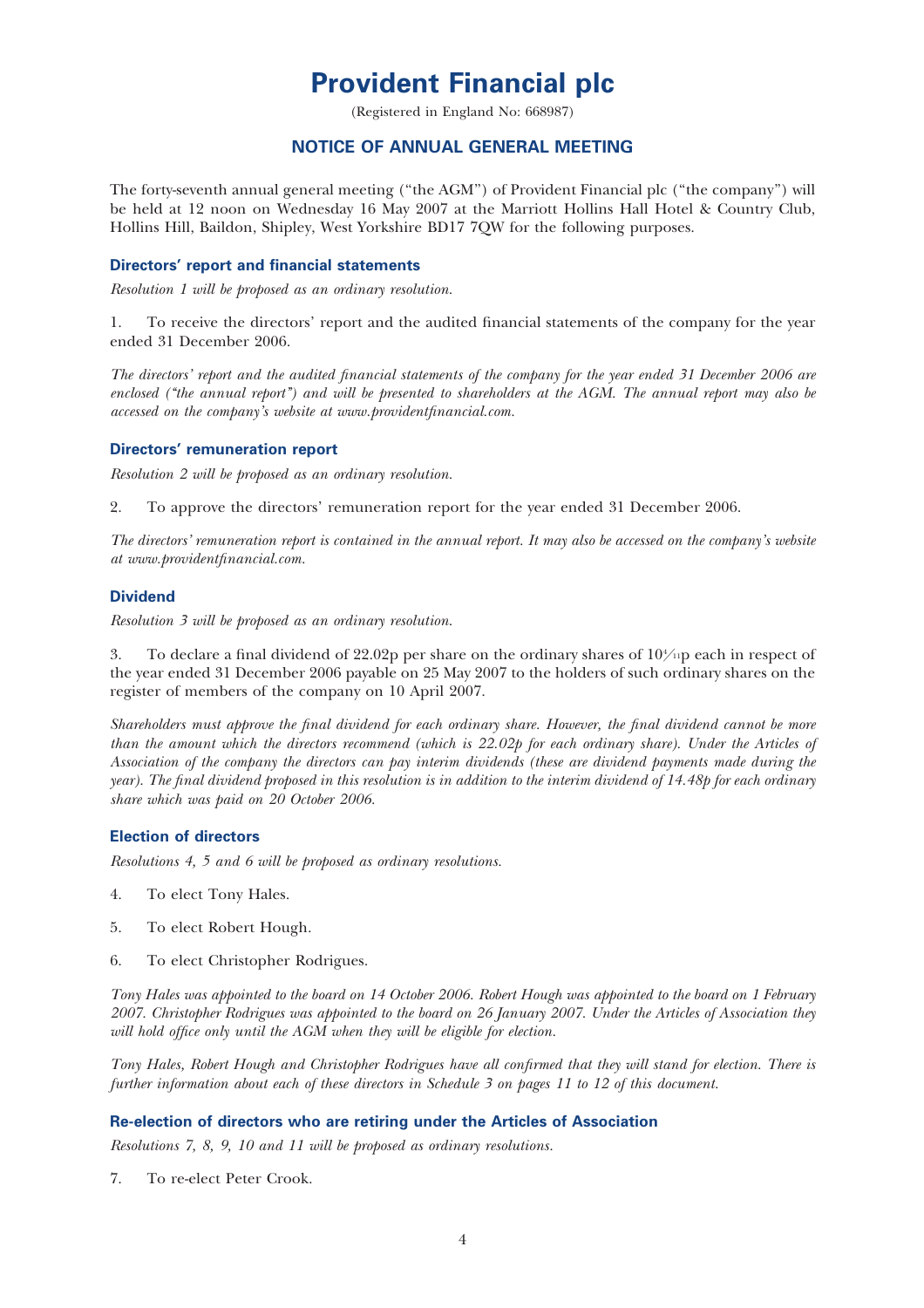# Provident Financial plc

(Registered in England No: 668987)

## NOTICE OF ANNUAL GENERAL MEETING

The forty-seventh annual general meeting (''the AGM'') of Provident Financial plc (''the company'') will be held at 12 noon on Wednesday 16 May 2007 at the Marriott Hollins Hall Hotel & Country Club, Hollins Hill, Baildon, Shipley, West Yorkshire BD17 7QW for the following purposes.

## Directors' report and financial statements

Resolution 1 will be proposed as an ordinary resolution.

1. To receive the directors' report and the audited financial statements of the company for the year ended 31 December 2006.

The directors' report and the audited financial statements of the company for the year ended 31 December 2006 are enclosed ("the annual report") and will be presented to shareholders at the AGM. The annual report may also be accessed on the company's website at www.providentfinancial.com.

#### Directors' remuneration report

Resolution 2 will be proposed as an ordinary resolution.

2. To approve the directors' remuneration report for the year ended 31 December 2006.

The directors' remuneration report is contained in the annual report. It may also be accessed on the company's website at www.providentfinancial.com.

#### **Dividend**

Resolution 3 will be proposed as an ordinary resolution.

3. To declare a final dividend of 22.02p per share on the ordinary shares of  $10\frac{\mu}{10}$  each in respect of the year ended 31 December 2006 payable on 25 May 2007 to the holders of such ordinary shares on the register of members of the company on 10 April 2007.

Shareholders must approve the final dividend for each ordinary share. However, the final dividend cannot be more than the amount which the directors recommend (which is 22.02p for each ordinary share). Under the Articles of Association of the company the directors can pay interim dividends (these are dividend payments made during the year). The final dividend proposed in this resolution is in addition to the interim dividend of 14.48p for each ordinary share which was paid on 20 October 2006.

## Election of directors

Resolutions 4, 5 and 6 will be proposed as ordinary resolutions.

- 4. To elect Tony Hales.
- 5. To elect Robert Hough.
- 6. To elect Christopher Rodrigues.

Tony Hales was appointed to the board on 14 October 2006. Robert Hough was appointed to the board on 1 February 2007. Christopher Rodrigues was appointed to the board on 26 January 2007. Under the Articles of Association they will hold office only until the AGM when they will be eligible for election.

Tony Hales, Robert Hough and Christopher Rodrigues have all confirmed that they will stand for election. There is further information about each of these directors in Schedule 3 on pages 11 to 12 of this document.

#### Re-election of directors who are retiring under the Articles of Association

Resolutions 7, 8, 9, 10 and 11 will be proposed as ordinary resolutions.

7. To re-elect Peter Crook.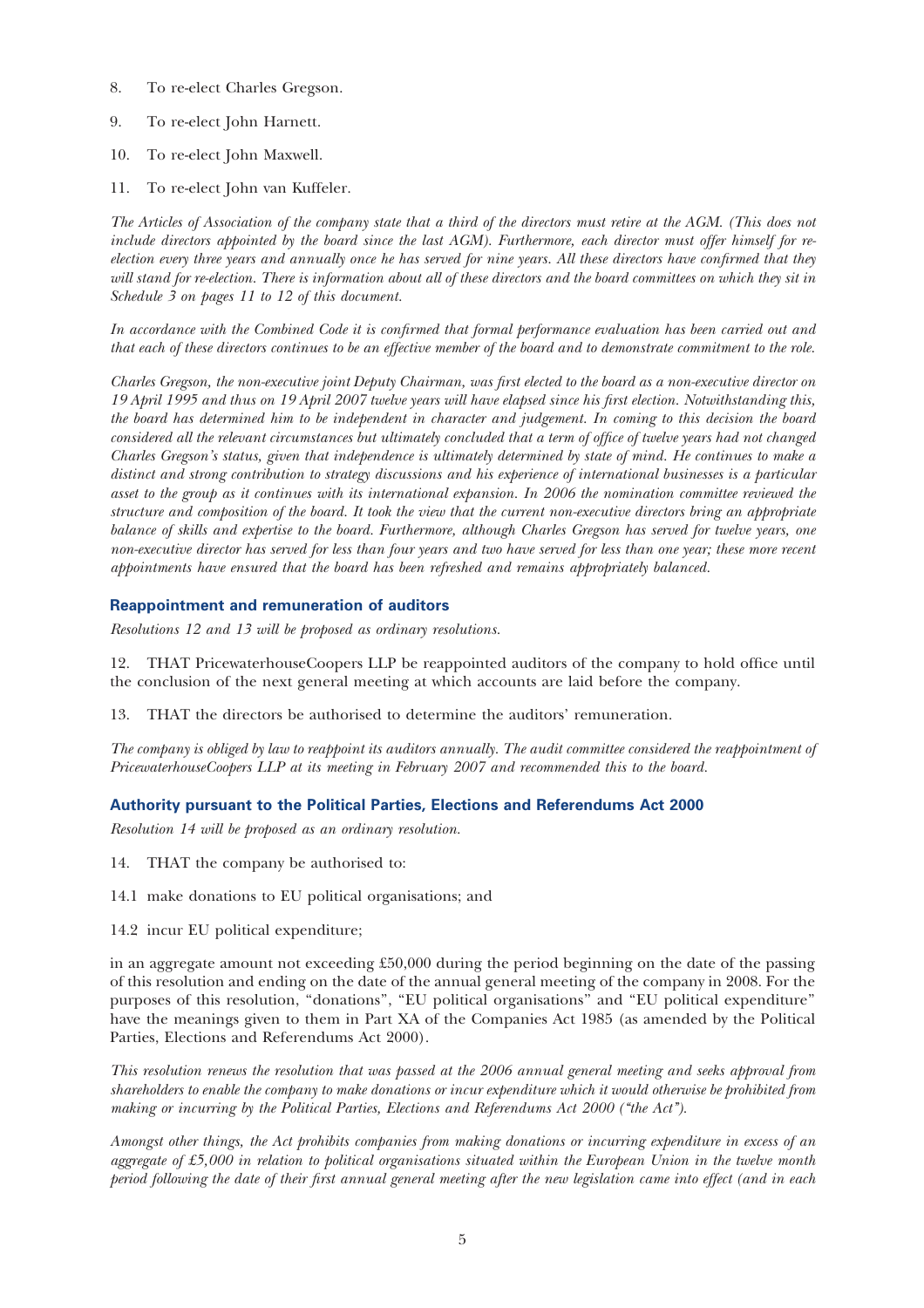- 8. To re-elect Charles Gregson.
- 9. To re-elect John Harnett.
- 10. To re-elect John Maxwell.
- 11. To re-elect John van Kuffeler.

The Articles of Association of the company state that a third of the directors must retire at the AGM. (This does not include directors appointed by the board since the last AGM). Furthermore, each director must offer himself for reelection every three years and annually once he has served for nine years. All these directors have confirmed that they will stand for re-election. There is information about all of these directors and the board committees on which they sit in Schedule 3 on pages 11 to 12 of this document.

In accordance with the Combined Code it is confirmed that formal performance evaluation has been carried out and that each of these directors continues to be an effective member of the board and to demonstrate commitment to the role.

Charles Gregson, the non-executive joint Deputy Chairman, was first elected to the board as a non-executive director on 19 April 1995 and thus on 19 April 2007 twelve years will have elapsed since his first election. Notwithstanding this, the board has determined him to be independent in character and judgement. In coming to this decision the board considered all the relevant circumstances but ultimately concluded that a term of office of twelve years had not changed Charles Gregson's status, given that independence is ultimately determined by state of mind. He continues to make a distinct and strong contribution to strategy discussions and his experience of international businesses is a particular asset to the group as it continues with its international expansion. In 2006 the nomination committee reviewed the structure and composition of the board. It took the view that the current non-executive directors bring an appropriate balance of skills and expertise to the board. Furthermore, although Charles Gregson has served for twelve years, one non-executive director has served for less than four years and two have served for less than one year; these more recent appointments have ensured that the board has been refreshed and remains appropriately balanced.

#### Reappointment and remuneration of auditors

Resolutions 12 and 13 will be proposed as ordinary resolutions.

12. THAT PricewaterhouseCoopers LLP be reappointed auditors of the company to hold office until the conclusion of the next general meeting at which accounts are laid before the company.

13. THAT the directors be authorised to determine the auditors' remuneration.

The company is obliged by law to reappoint its auditors annually. The audit committee considered the reappointment of PricewaterhouseCoopers LLP at its meeting in February 2007 and recommended this to the board.

## Authority pursuant to the Political Parties, Elections and Referendums Act 2000

Resolution 14 will be proposed as an ordinary resolution.

- 14. THAT the company be authorised to:
- 14.1 make donations to EU political organisations; and
- 14.2 incur EU political expenditure;

in an aggregate amount not exceeding £50,000 during the period beginning on the date of the passing of this resolution and ending on the date of the annual general meeting of the company in 2008. For the purposes of this resolution, "donations", "EU political organisations" and "EU political expenditure" have the meanings given to them in Part XA of the Companies Act 1985 (as amended by the Political Parties, Elections and Referendums Act 2000).

This resolution renews the resolution that was passed at the 2006 annual general meeting and seeks approval from shareholders to enable the company to make donations or incur expenditure which it would otherwise be prohibited from making or incurring by the Political Parties, Elections and Referendums Act 2000 ("the Act").

Amongst other things, the Act prohibits companies from making donations or incurring expenditure in excess of an aggregate of £5,000 in relation to political organisations situated within the European Union in the twelve month period following the date of their first annual general meeting after the new legislation came into effect (and in each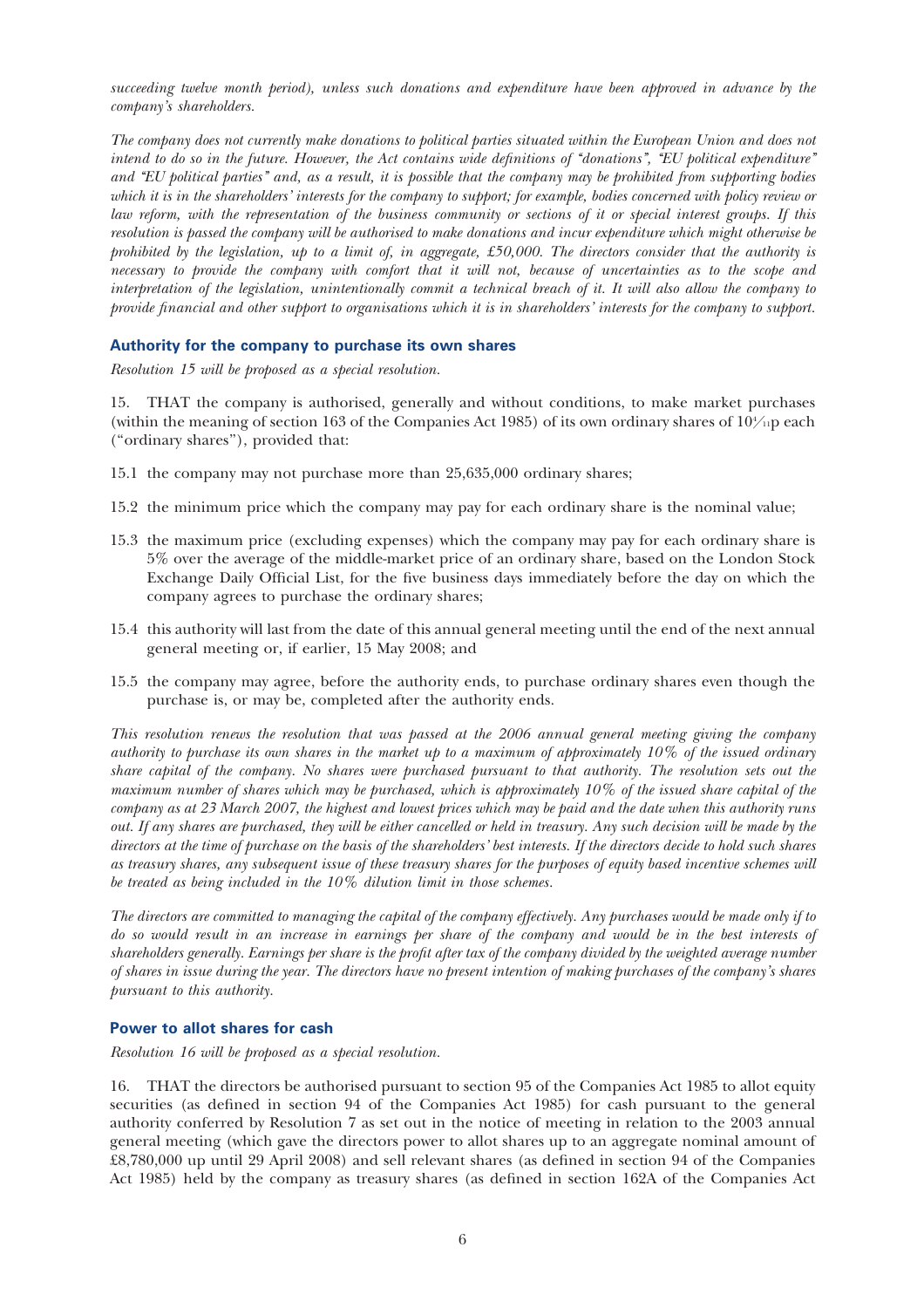succeeding twelve month period), unless such donations and expenditure have been approved in advance by the company's shareholders.

The company does not currently make donations to political parties situated within the European Union and does not intend to do so in the future. However, the Act contains wide definitions of "donations", "EU political expenditure" and ''EU political parties'' and, as a result, it is possible that the company may be prohibited from supporting bodies which it is in the shareholders' interests for the company to support; for example, bodies concerned with policy review or law reform, with the representation of the business community or sections of it or special interest groups. If this resolution is passed the company will be authorised to make donations and incur expenditure which might otherwise be prohibited by the legislation, up to a limit of, in aggregate,  $£50,000$ . The directors consider that the authority is necessary to provide the company with comfort that it will not, because of uncertainties as to the scope and interpretation of the legislation, unintentionally commit a technical breach of it. It will also allow the company to provide financial and other support to organisations which it is in shareholders' interests for the company to support.

## Authority for the company to purchase its own shares

Resolution 15 will be proposed as a special resolution.

15. THAT the company is authorised, generally and without conditions, to make market purchases (within the meaning of section 163 of the Companies Act 1985) of its own ordinary shares of  $10\frac{\text{m}}{\text{m}}$  each (''ordinary shares''), provided that:

- 15.1 the company may not purchase more than 25,635,000 ordinary shares;
- 15.2 the minimum price which the company may pay for each ordinary share is the nominal value;
- 15.3 the maximum price (excluding expenses) which the company may pay for each ordinary share is 5% over the average of the middle-market price of an ordinary share, based on the London Stock Exchange Daily Official List, for the five business days immediately before the day on which the company agrees to purchase the ordinary shares;
- 15.4 this authority will last from the date of this annual general meeting until the end of the next annual general meeting or, if earlier, 15 May 2008; and
- 15.5 the company may agree, before the authority ends, to purchase ordinary shares even though the purchase is, or may be, completed after the authority ends.

This resolution renews the resolution that was passed at the 2006 annual general meeting giving the company authority to purchase its own shares in the market up to a maximum of approximately 10% of the issued ordinary share capital of the company. No shares were purchased pursuant to that authority. The resolution sets out the maximum number of shares which may be purchased, which is approximately 10% of the issued share capital of the company as at 23 March 2007, the highest and lowest prices which may be paid and the date when this authority runs out. If any shares are purchased, they will be either cancelled or held in treasury. Any such decision will be made by the directors at the time of purchase on the basis of the shareholders' best interests. If the directors decide to hold such shares as treasury shares, any subsequent issue of these treasury shares for the purposes of equity based incentive schemes will be treated as being included in the 10% dilution limit in those schemes.

The directors are committed to managing the capital of the company effectively. Any purchases would be made only if to do so would result in an increase in earnings per share of the company and would be in the best interests of shareholders generally. Earnings per share is the profit after tax of the company divided by the weighted average number of shares in issue during the year. The directors have no present intention of making purchases of the company's shares pursuant to this authority.

## Power to allot shares for cash

Resolution 16 will be proposed as a special resolution.

16. THAT the directors be authorised pursuant to section 95 of the Companies Act 1985 to allot equity securities (as defined in section 94 of the Companies Act 1985) for cash pursuant to the general authority conferred by Resolution 7 as set out in the notice of meeting in relation to the 2003 annual general meeting (which gave the directors power to allot shares up to an aggregate nominal amount of £8,780,000 up until 29 April 2008) and sell relevant shares (as defined in section 94 of the Companies Act 1985) held by the company as treasury shares (as defined in section 162A of the Companies Act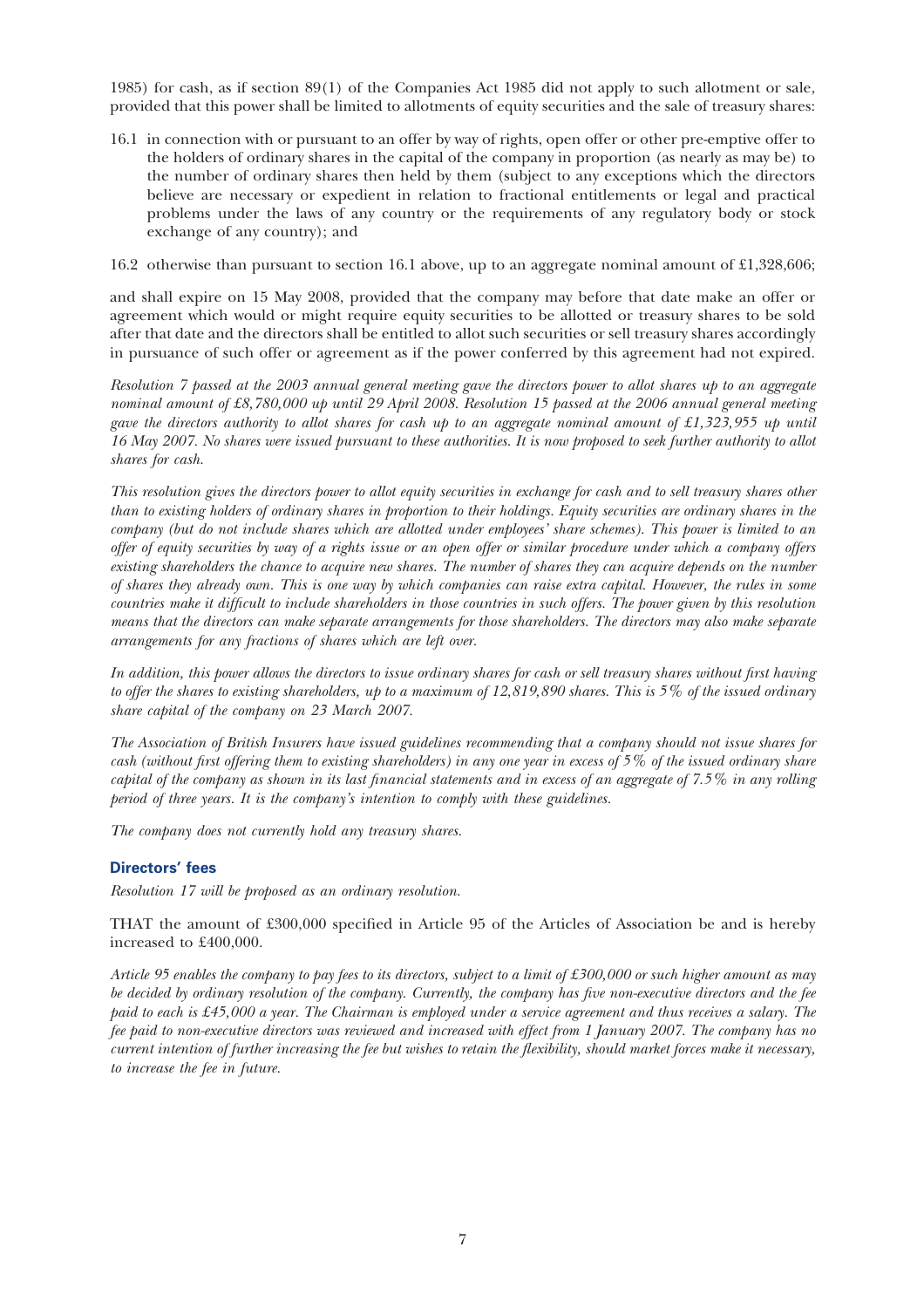1985) for cash, as if section 89(1) of the Companies Act 1985 did not apply to such allotment or sale, provided that this power shall be limited to allotments of equity securities and the sale of treasury shares:

16.1 in connection with or pursuant to an offer by way of rights, open offer or other pre-emptive offer to the holders of ordinary shares in the capital of the company in proportion (as nearly as may be) to the number of ordinary shares then held by them (subject to any exceptions which the directors believe are necessary or expedient in relation to fractional entitlements or legal and practical problems under the laws of any country or the requirements of any regulatory body or stock exchange of any country); and

16.2 otherwise than pursuant to section 16.1 above, up to an aggregate nominal amount of £1,328,606;

and shall expire on 15 May 2008, provided that the company may before that date make an offer or agreement which would or might require equity securities to be allotted or treasury shares to be sold after that date and the directors shall be entitled to allot such securities or sell treasury shares accordingly in pursuance of such offer or agreement as if the power conferred by this agreement had not expired.

Resolution 7 passed at the 2003 annual general meeting gave the directors power to allot shares up to an aggregate nominal amount of £8,780,000 up until 29 April 2008. Resolution 15 passed at the 2006 annual general meeting gave the directors authority to allot shares for cash up to an aggregate nominal amount of £1,323,955 up until 16 May 2007. No shares were issued pursuant to these authorities. It is now proposed to seek further authority to allot shares for cash.

This resolution gives the directors power to allot equity securities in exchange for cash and to sell treasury shares other than to existing holders of ordinary shares in proportion to their holdings. Equity securities are ordinary shares in the company (but do not include shares which are allotted under employees' share schemes). This power is limited to an offer of equity securities by way of a rights issue or an open offer or similar procedure under which a company offers existing shareholders the chance to acquire new shares. The number of shares they can acquire depends on the number of shares they already own. This is one way by which companies can raise extra capital. However, the rules in some countries make it difficult to include shareholders in those countries in such offers. The power given by this resolution means that the directors can make separate arrangements for those shareholders. The directors may also make separate arrangements for any fractions of shares which are left over.

In addition, this power allows the directors to issue ordinary shares for cash or sell treasury shares without first having to offer the shares to existing shareholders, up to a maximum of 12,819,890 shares. This is 5% of the issued ordinary share capital of the company on 23 March 2007.

The Association of British Insurers have issued guidelines recommending that a company should not issue shares for cash (without first offering them to existing shareholders) in any one year in excess of 5% of the issued ordinary share capital of the company as shown in its last financial statements and in excess of an aggregate of 7.5% in any rolling period of three years. It is the company's intention to comply with these guidelines.

The company does not currently hold any treasury shares.

## Directors' fees

Resolution 17 will be proposed as an ordinary resolution.

THAT the amount of £300,000 specified in Article 95 of the Articles of Association be and is hereby increased to £400,000.

Article 95 enables the company to pay fees to its directors, subject to a limit of £300,000 or such higher amount as may be decided by ordinary resolution of the company. Currently, the company has five non-executive directors and the fee paid to each is £45,000 a year. The Chairman is employed under a service agreement and thus receives a salary. The fee paid to non-executive directors was reviewed and increased with effect from 1 January 2007. The company has no current intention of further increasing the fee but wishes to retain the flexibility, should market forces make it necessary, to increase the fee in future.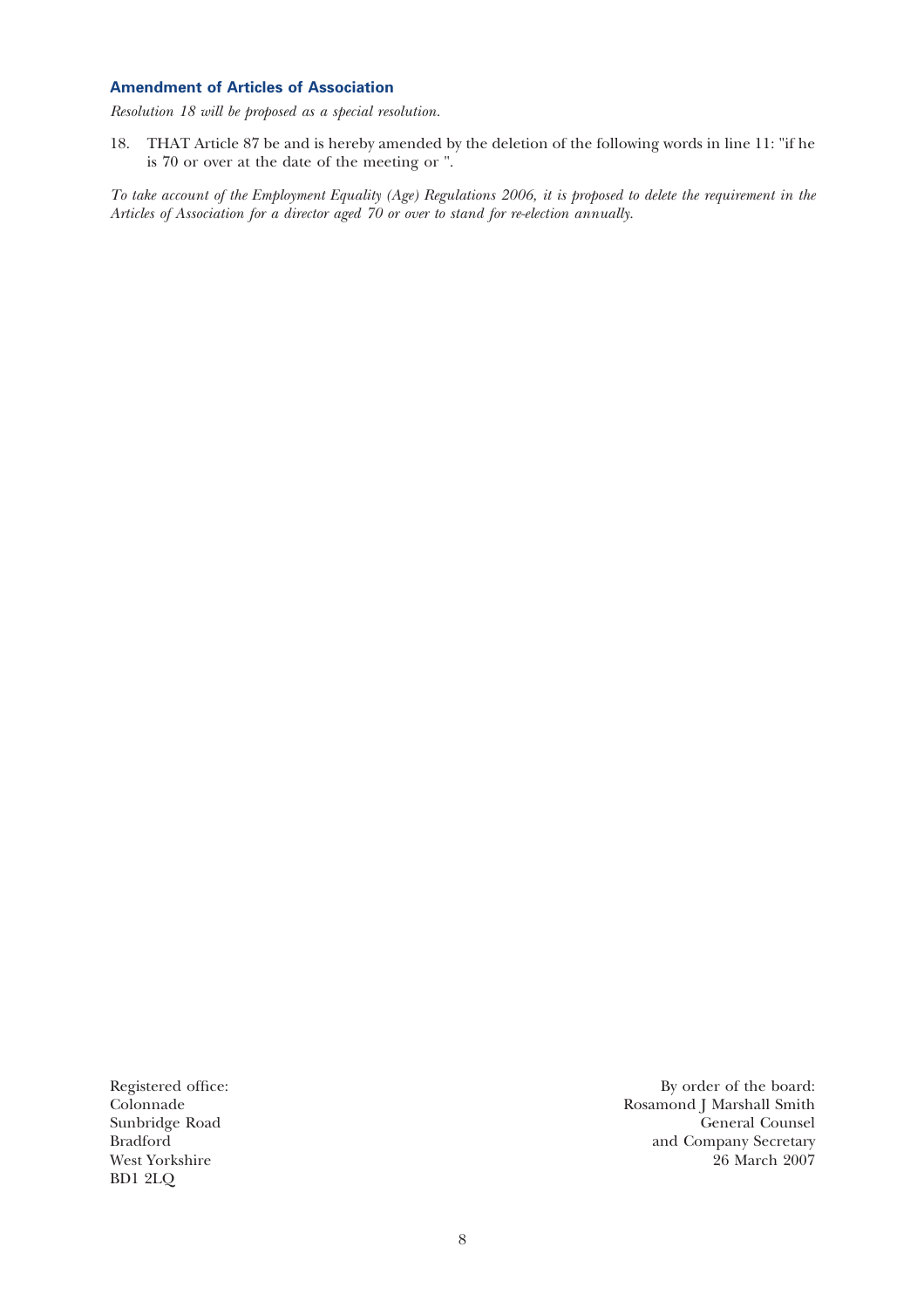## Amendment of Articles of Association

Resolution 18 will be proposed as a special resolution.

18. THAT Article 87 be and is hereby amended by the deletion of the following words in line 11: "if he is 70 or over at the date of the meeting or ".

To take account of the Employment Equality (Age) Regulations 2006, it is proposed to delete the requirement in the Articles of Association for a director aged 70 or over to stand for re-election annually.

West Yorkshire BD1 2LQ

Registered office: By order of the board: By order of the board: Colonnade Rosamond J Marshall Smith Colonnade Rosamond J Marshall Smith Sunbridge Road General Counsel<br>Bradford and Company Secretary and Company Secretary<br>26 March 2007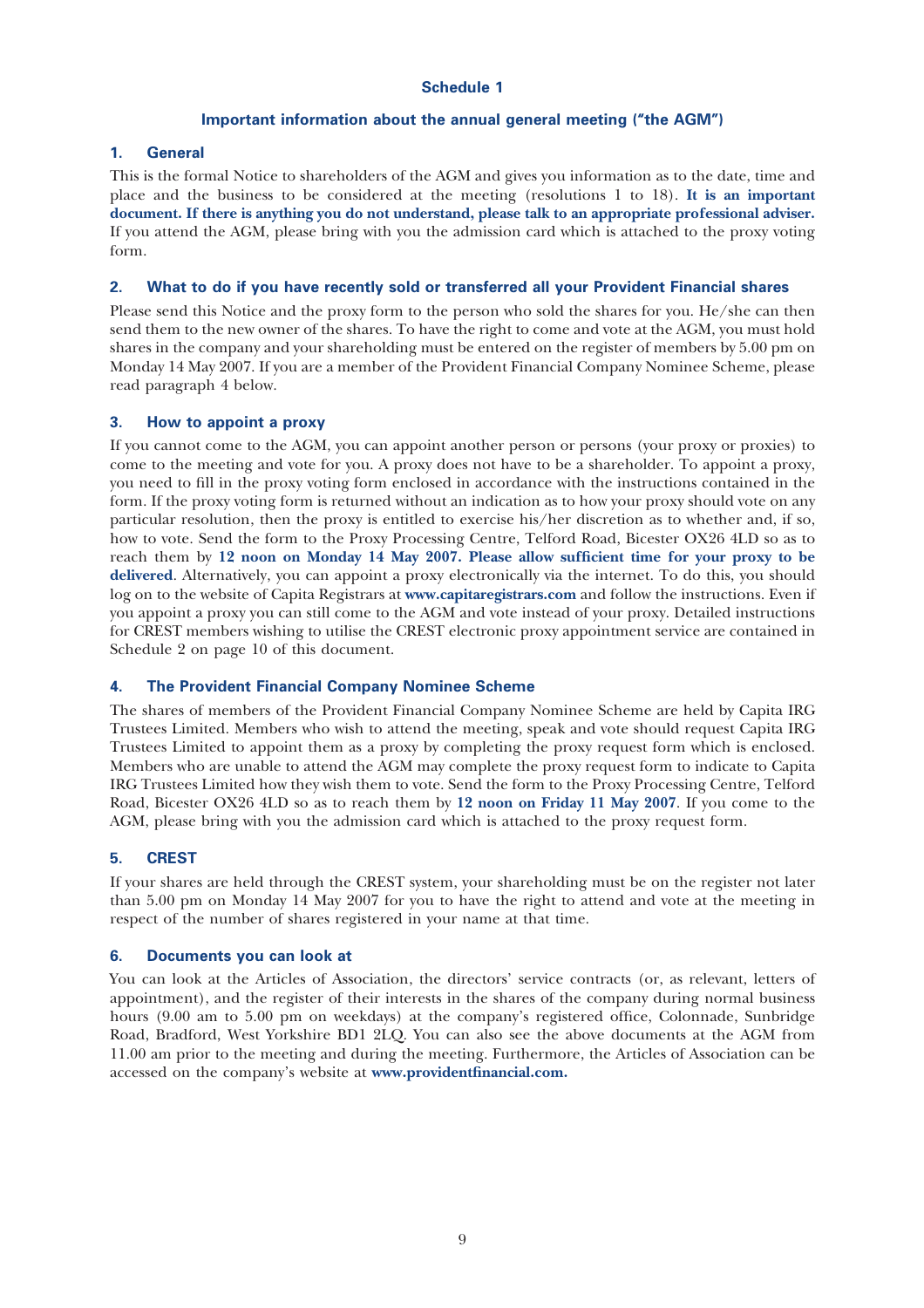## Schedule 1

## Important information about the annual general meeting (''the AGM'')

#### 1. General

This is the formal Notice to shareholders of the AGM and gives you information as to the date, time and place and the business to be considered at the meeting (resolutions 1 to 18). It is an important document. If there is anything you do not understand, please talk to an appropriate professional adviser. If you attend the AGM, please bring with you the admission card which is attached to the proxy voting form.

#### 2. What to do if you have recently sold or transferred all your Provident Financial shares

Please send this Notice and the proxy form to the person who sold the shares for you. He/she can then send them to the new owner of the shares. To have the right to come and vote at the AGM, you must hold shares in the company and your shareholding must be entered on the register of members by 5.00 pm on Monday 14 May 2007. If you are a member of the Provident Financial Company Nominee Scheme, please read paragraph 4 below.

#### 3. How to appoint a proxy

If you cannot come to the AGM, you can appoint another person or persons (your proxy or proxies) to come to the meeting and vote for you. A proxy does not have to be a shareholder. To appoint a proxy, you need to fill in the proxy voting form enclosed in accordance with the instructions contained in the form. If the proxy voting form is returned without an indication as to how your proxy should vote on any particular resolution, then the proxy is entitled to exercise his/her discretion as to whether and, if so, how to vote. Send the form to the Proxy Processing Centre, Telford Road, Bicester OX26 4LD so as to reach them by 12 noon on Monday 14 May 2007. Please allow sufficient time for your proxy to be delivered. Alternatively, you can appoint a proxy electronically via the internet. To do this, you should log on to the website of Capita Registrars at www.capitaregistrars.com and follow the instructions. Even if you appoint a proxy you can still come to the AGM and vote instead of your proxy. Detailed instructions for CREST members wishing to utilise the CREST electronic proxy appointment service are contained in Schedule 2 on page 10 of this document.

## 4. The Provident Financial Company Nominee Scheme

The shares of members of the Provident Financial Company Nominee Scheme are held by Capita IRG Trustees Limited. Members who wish to attend the meeting, speak and vote should request Capita IRG Trustees Limited to appoint them as a proxy by completing the proxy request form which is enclosed. Members who are unable to attend the AGM may complete the proxy request form to indicate to Capita IRG Trustees Limited how they wish them to vote. Send the form to the Proxy Processing Centre, Telford Road, Bicester OX26 4LD so as to reach them by 12 noon on Friday 11 May 2007. If you come to the AGM, please bring with you the admission card which is attached to the proxy request form.

## 5. CREST

If your shares are held through the CREST system, your shareholding must be on the register not later than 5.00 pm on Monday 14 May 2007 for you to have the right to attend and vote at the meeting in respect of the number of shares registered in your name at that time.

#### 6. Documents you can look at

You can look at the Articles of Association, the directors' service contracts (or, as relevant, letters of appointment), and the register of their interests in the shares of the company during normal business hours (9.00 am to 5.00 pm on weekdays) at the company's registered office, Colonnade, Sunbridge Road, Bradford, West Yorkshire BD1 2LQ. You can also see the above documents at the AGM from 11.00 am prior to the meeting and during the meeting. Furthermore, the Articles of Association can be accessed on the company's website at www.providentfinancial.com.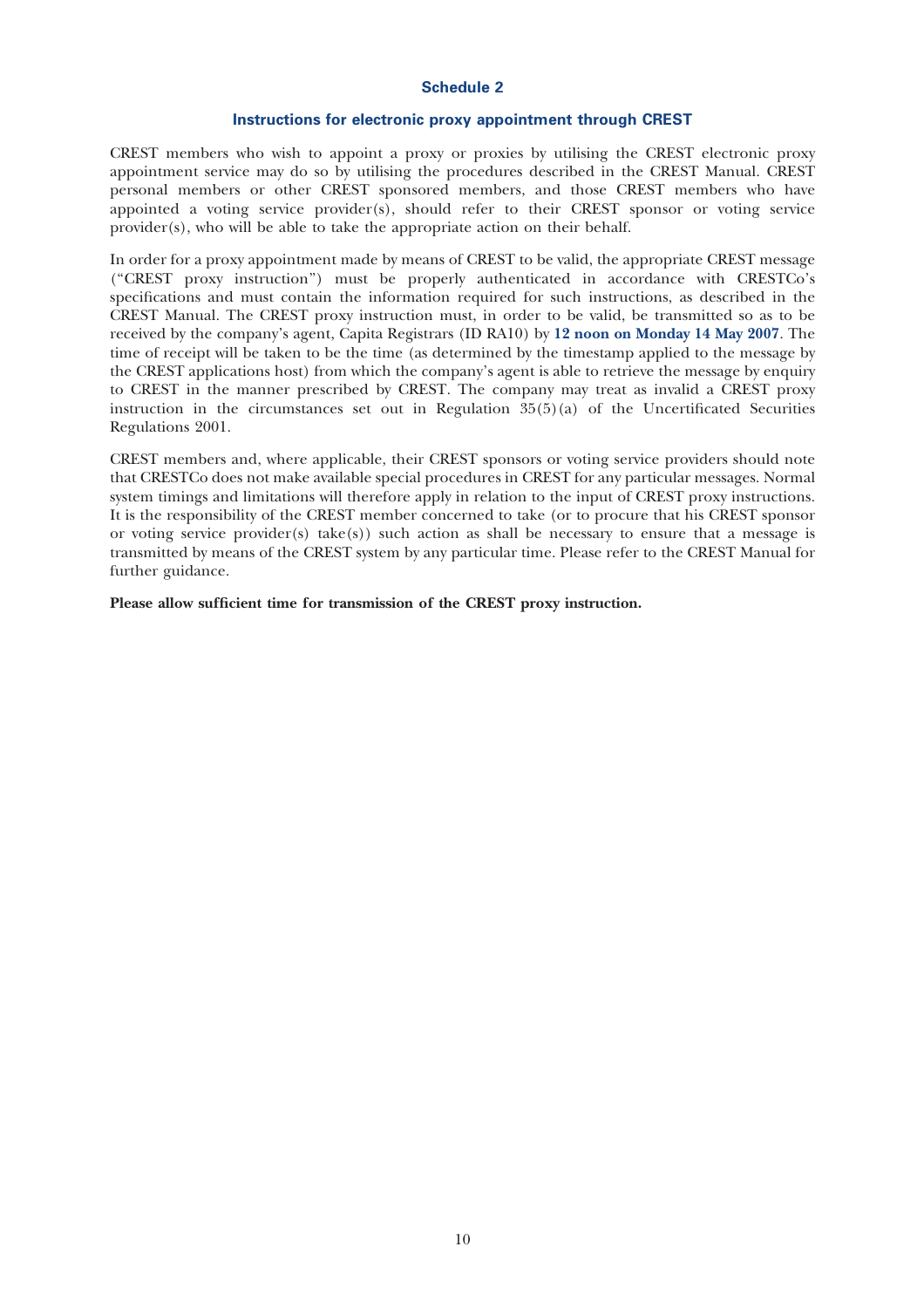#### Schedule 2

#### Instructions for electronic proxy appointment through CREST

CREST members who wish to appoint a proxy or proxies by utilising the CREST electronic proxy appointment service may do so by utilising the procedures described in the CREST Manual. CREST personal members or other CREST sponsored members, and those CREST members who have appointed a voting service provider(s), should refer to their CREST sponsor or voting service provider(s), who will be able to take the appropriate action on their behalf.

In order for a proxy appointment made by means of CREST to be valid, the appropriate CREST message (''CREST proxy instruction'') must be properly authenticated in accordance with CRESTCo's specifications and must contain the information required for such instructions, as described in the CREST Manual. The CREST proxy instruction must, in order to be valid, be transmitted so as to be received by the company's agent, Capita Registrars (ID RA10) by 12 noon on Monday 14 May 2007. The time of receipt will be taken to be the time (as determined by the timestamp applied to the message by the CREST applications host) from which the company's agent is able to retrieve the message by enquiry to CREST in the manner prescribed by CREST. The company may treat as invalid a CREST proxy instruction in the circumstances set out in Regulation  $35(5)(a)$  of the Uncertificated Securities Regulations 2001.

CREST members and, where applicable, their CREST sponsors or voting service providers should note that CRESTCo does not make available special procedures in CREST for any particular messages. Normal system timings and limitations will therefore apply in relation to the input of CREST proxy instructions. It is the responsibility of the CREST member concerned to take (or to procure that his CREST sponsor or voting service provider(s) take(s)) such action as shall be necessary to ensure that a message is transmitted by means of the CREST system by any particular time. Please refer to the CREST Manual for further guidance.

Please allow sufficient time for transmission of the CREST proxy instruction.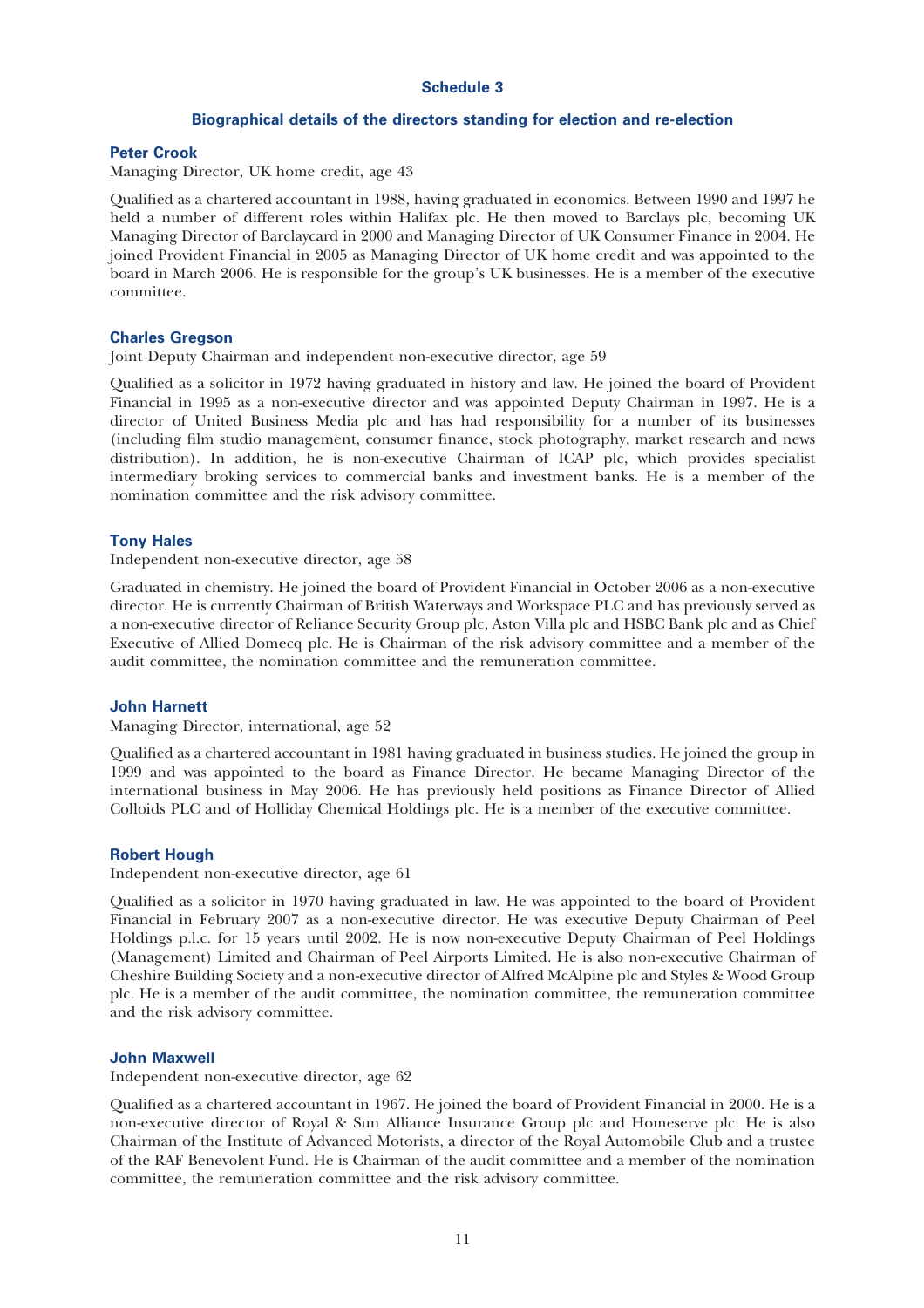#### Schedule 3

## Biographical details of the directors standing for election and re-election

#### Peter Crook

Managing Director, UK home credit, age 43

Qualified as a chartered accountant in 1988, having graduated in economics. Between 1990 and 1997 he held a number of different roles within Halifax plc. He then moved to Barclays plc, becoming UK Managing Director of Barclaycard in 2000 and Managing Director of UK Consumer Finance in 2004. He joined Provident Financial in 2005 as Managing Director of UK home credit and was appointed to the board in March 2006. He is responsible for the group's UK businesses. He is a member of the executive committee.

#### Charles Gregson

Joint Deputy Chairman and independent non-executive director, age 59

Qualified as a solicitor in 1972 having graduated in history and law. He joined the board of Provident Financial in 1995 as a non-executive director and was appointed Deputy Chairman in 1997. He is a director of United Business Media plc and has had responsibility for a number of its businesses (including film studio management, consumer finance, stock photography, market research and news distribution). In addition, he is non-executive Chairman of ICAP plc, which provides specialist intermediary broking services to commercial banks and investment banks. He is a member of the nomination committee and the risk advisory committee.

#### Tony Hales

Independent non-executive director, age 58

Graduated in chemistry. He joined the board of Provident Financial in October 2006 as a non-executive director. He is currently Chairman of British Waterways and Workspace PLC and has previously served as a non-executive director of Reliance Security Group plc, Aston Villa plc and HSBC Bank plc and as Chief Executive of Allied Domecq plc. He is Chairman of the risk advisory committee and a member of the audit committee, the nomination committee and the remuneration committee.

## John Harnett

Managing Director, international, age 52

Qualified as a chartered accountant in 1981 having graduated in business studies. He joined the group in 1999 and was appointed to the board as Finance Director. He became Managing Director of the international business in May 2006. He has previously held positions as Finance Director of Allied Colloids PLC and of Holliday Chemical Holdings plc. He is a member of the executive committee.

#### Robert Hough

Independent non-executive director, age 61

Qualified as a solicitor in 1970 having graduated in law. He was appointed to the board of Provident Financial in February 2007 as a non-executive director. He was executive Deputy Chairman of Peel Holdings p.l.c. for 15 years until 2002. He is now non-executive Deputy Chairman of Peel Holdings (Management) Limited and Chairman of Peel Airports Limited. He is also non-executive Chairman of Cheshire Building Society and a non-executive director of Alfred McAlpine plc and Styles & Wood Group plc. He is a member of the audit committee, the nomination committee, the remuneration committee and the risk advisory committee.

#### John Maxwell

Independent non-executive director, age 62

Qualified as a chartered accountant in 1967. He joined the board of Provident Financial in 2000. He is a non-executive director of Royal & Sun Alliance Insurance Group plc and Homeserve plc. He is also Chairman of the Institute of Advanced Motorists, a director of the Royal Automobile Club and a trustee of the RAF Benevolent Fund. He is Chairman of the audit committee and a member of the nomination committee, the remuneration committee and the risk advisory committee.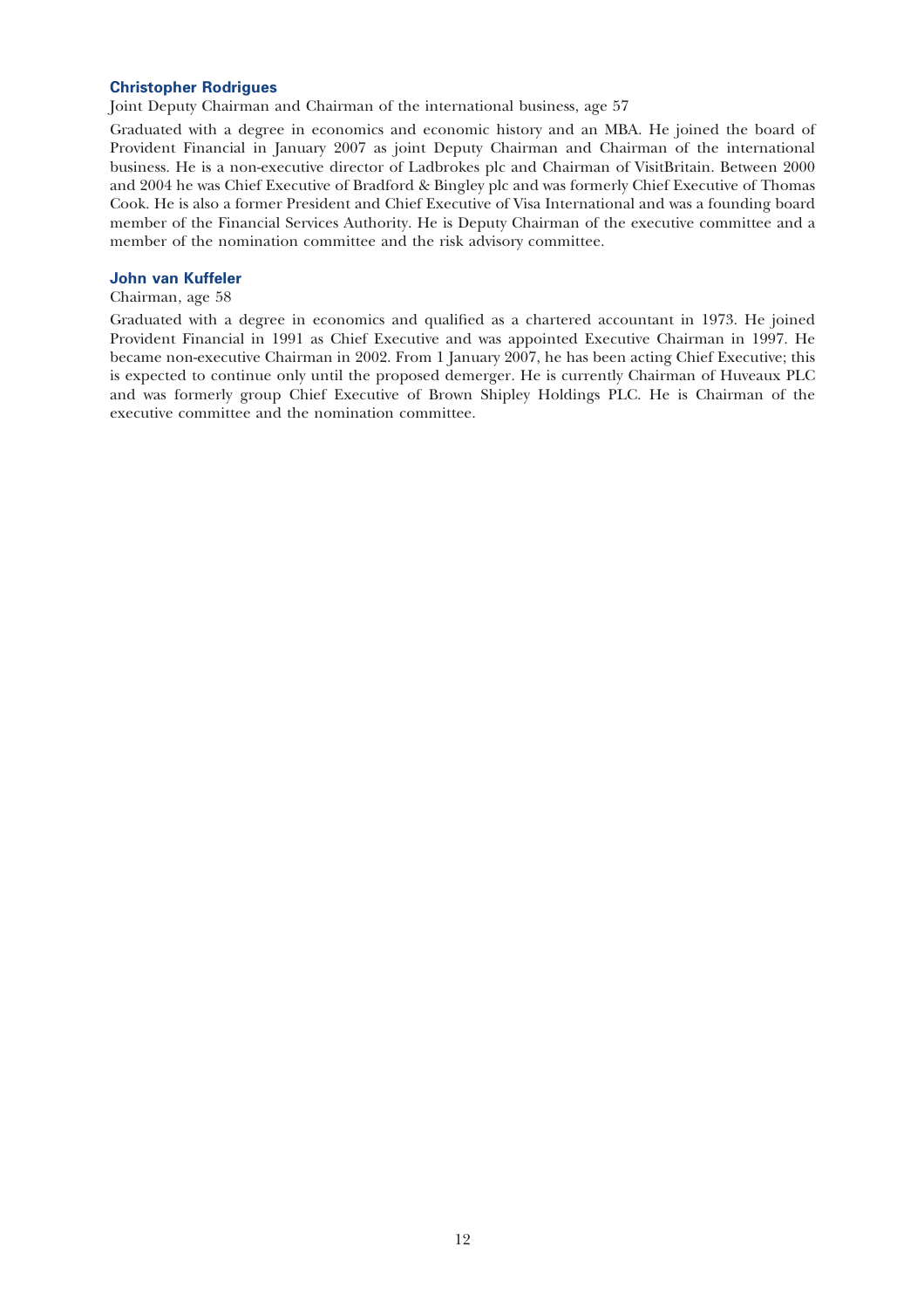## Christopher Rodrigues

Joint Deputy Chairman and Chairman of the international business, age 57

Graduated with a degree in economics and economic history and an MBA. He joined the board of Provident Financial in January 2007 as joint Deputy Chairman and Chairman of the international business. He is a non-executive director of Ladbrokes plc and Chairman of VisitBritain. Between 2000 and 2004 he was Chief Executive of Bradford & Bingley plc and was formerly Chief Executive of Thomas Cook. He is also a former President and Chief Executive of Visa International and was a founding board member of the Financial Services Authority. He is Deputy Chairman of the executive committee and a member of the nomination committee and the risk advisory committee.

#### John van Kuffeler

Chairman, age 58

Graduated with a degree in economics and qualified as a chartered accountant in 1973. He joined Provident Financial in 1991 as Chief Executive and was appointed Executive Chairman in 1997. He became non-executive Chairman in 2002. From 1 January 2007, he has been acting Chief Executive; this is expected to continue only until the proposed demerger. He is currently Chairman of Huveaux PLC and was formerly group Chief Executive of Brown Shipley Holdings PLC. He is Chairman of the executive committee and the nomination committee.